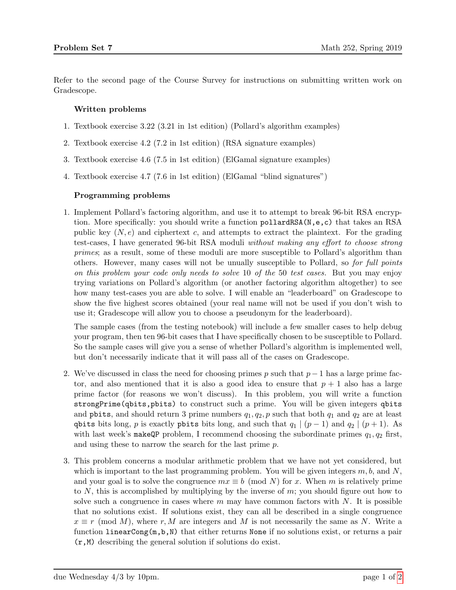Refer to the second page of the Course Survey for instructions on submitting written work on Gradescope.

## Written problems

- 1. Textbook exercise 3.22 (3.21 in 1st edition) (Pollard's algorithm examples)
- 2. Textbook exercise 4.2 (7.2 in 1st edition) (RSA signature examples)
- 3. Textbook exercise 4.6 (7.5 in 1st edition) (ElGamal signature examples)
- 4. Textbook exercise 4.7 (7.6 in 1st edition) (ElGamal "blind signatures")

## Programming problems

1. Implement Pollard's factoring algorithm, and use it to attempt to break 96-bit RSA encryption. More specifically: you should write a function pollardRSA( $N, e, c$ ) that takes an RSA public key  $(N, e)$  and ciphertext c, and attempts to extract the plaintext. For the grading test-cases, I have generated 96-bit RSA moduli without making any effort to choose strong primes; as a result, some of these moduli are more susceptible to Pollard's algorithm than others. However, many cases will not be unually susceptible to Pollard, so for full points on this problem your code only needs to solve 10 of the 50 test cases. But you may enjoy trying variations on Pollard's algorithm (or another factoring algorithm altogether) to see how many test-cases you are able to solve. I will enable an "leaderboard" on Gradescope to show the five highest scores obtained (your real name will not be used if you don't wish to use it; Gradescope will allow you to choose a pseudonym for the leaderboard).

The sample cases (from the testing notebook) will include a few smaller cases to help debug your program, then ten 96-bit cases that I have specifically chosen to be susceptible to Pollard. So the sample cases will give you a sense of whether Pollard's algorithm is implemented well, but don't necessarily indicate that it will pass all of the cases on Gradescope.

- 2. We've discussed in class the need for choosing primes p such that  $p-1$  has a large prime factor, and also mentioned that it is also a good idea to ensure that  $p + 1$  also has a large prime factor (for reasons we won't discuss). In this problem, you will write a function strongPrime(qbits,pbits) to construct such a prime. You will be given integers qbits and poits, and should return 3 prime numbers  $q_1, q_2, p$  such that both  $q_1$  and  $q_2$  are at least qbits bits long, p is exactly pbits bits long, and such that  $q_1 | (p - 1)$  and  $q_2 | (p + 1)$ . As with last week's make QP problem, I recommend choosing the subordinate primes  $q_1, q_2$  first, and using these to narrow the search for the last prime p.
- 3. This problem concerns a modular arithmetic problem that we have not yet considered, but which is important to the last programming problem. You will be given integers  $m, b$ , and  $N$ , and your goal is to solve the congruence  $mx \equiv b \pmod{N}$  for x. When m is relatively prime to  $N$ , this is accomplished by multiplying by the inverse of  $m$ ; you should figure out how to solve such a congruence in cases where  $m$  may have common factors with  $N$ . It is possible that no solutions exist. If solutions exist, they can all be described in a single congruence  $x \equiv r \pmod{M}$ , where r, M are integers and M is not necessarily the same as N. Write a function linearCong $(m, b, N)$  that either returns None if no solutions exist, or returns a pair (r,M) describing the general solution if solutions do exist.